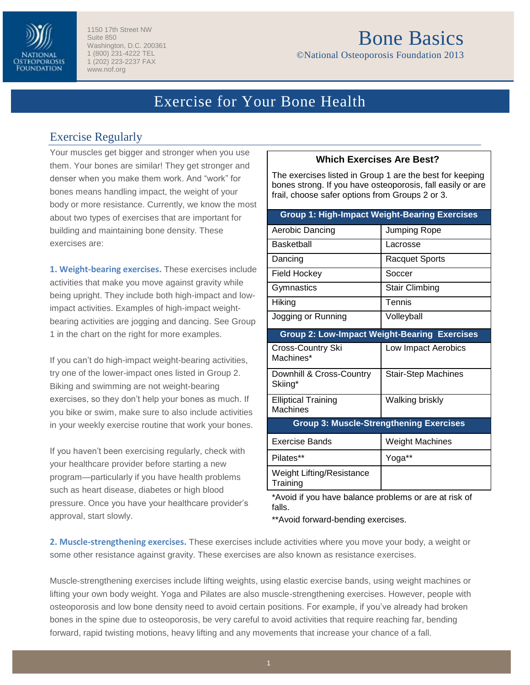

1150 17th Street NW Suite 850 Washington, D.C. 200361 1 (800) 231-4222 TEL 1 (202) 223-2237 FAX www.nof.org

# Bone Basics

©National Osteoporosis Foundation 2013

## Exercise for Your Bone Health

### Exercise Regularly

Your muscles get bigger and stronger when you use them. Your bones are similar! They get stronger and denser when you make them work. And "work" for bones means handling impact, the weight of your body or more resistance. Currently, we know the most about two types of exercises that are important for building and maintaining bone density. These exercises are:

**1. Weight-bearing exercises.** These exercises include activities that make you move against gravity while being upright. They include both high-impact and lowimpact activities. Examples of high-impact weightbearing activities are jogging and dancing. See Group 1 in the chart on the right for more examples.

If you can't do high-impact weight-bearing activities, try one of the lower-impact ones listed in Group 2. Biking and swimming are not weight-bearing exercises, so they don't help your bones as much. If you bike or swim, make sure to also include activities in your weekly exercise routine that work your bones.

If you haven't been exercising regularly, check with your healthcare provider before starting a new program—particularly if you have health problems such as heart disease, diabetes or high blood pressure. Once you have your healthcare provider's approval, start slowly.

#### **Which Exercises Are Best?**

The exercises listed in Group 1 are the best for keeping bones strong. If you have osteoporosis, fall easily or are frail, choose safer options from Groups 2 or 3.

| <b>Group 1: High-Impact Weight-Bearing Exercises</b> |                            |
|------------------------------------------------------|----------------------------|
| Aerobic Dancing                                      | Jumping Rope               |
| Basketball                                           | Lacrosse                   |
| Dancing                                              | <b>Racquet Sports</b>      |
| <b>Field Hockey</b>                                  | Soccer                     |
| Gymnastics                                           | <b>Stair Climbing</b>      |
| Hiking                                               | Tennis                     |
| Jogging or Running                                   | Volleyball                 |
| <b>Group 2: Low-Impact Weight-Bearing Exercises</b>  |                            |
| Cross-Country Ski<br>Machines*                       | Low Impact Aerobics        |
| Downhill & Cross-Country<br>Skiing*                  | <b>Stair-Step Machines</b> |
| <b>Elliptical Training</b><br>Machines               | Walking briskly            |
| <b>Group 3: Muscle-Strengthening Exercises</b>       |                            |
| Exercise Bands                                       | <b>Weight Machines</b>     |
| Pilates**                                            | Yoga**                     |
| <b>Weight Lifting/Resistance</b><br>Training         |                            |

\*Avoid if you have balance problems or are at risk of falls.

\*\*Avoid forward-bending exercises.

**2. Muscle-strengthening exercises.** These exercises include activities where you move your body, a weight or some other resistance against gravity. These exercises are also known as resistance exercises.

Muscle-strengthening exercises include lifting weights, using elastic exercise bands, using weight machines or lifting your own body weight. Yoga and Pilates are also muscle-strengthening exercises. However, people with osteoporosis and low bone density need to avoid certain positions. For example, if you've already had broken bones in the spine due to osteoporosis, be very careful to avoid activities that require reaching far, bending forward, rapid twisting motions, heavy lifting and any movements that increase your chance of a fall.